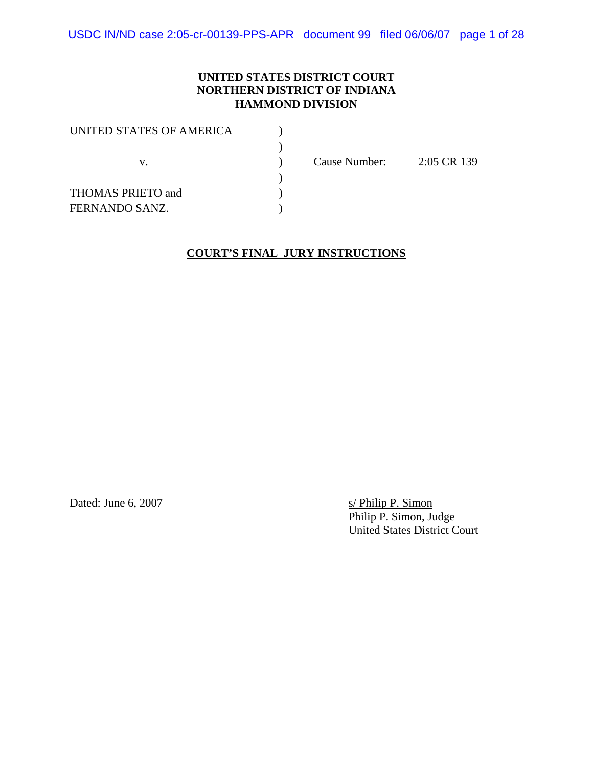#### **UNITED STATES DISTRICT COURT NORTHERN DISTRICT OF INDIANA HAMMOND DIVISION**

Cause Number: 2:05 CR 139

#### **COURT'S FINAL JURY INSTRUCTIONS**

Dated: June 6, 2007

s/ Philip P. Simon<br>Philip P. Simon, Judge United States District Court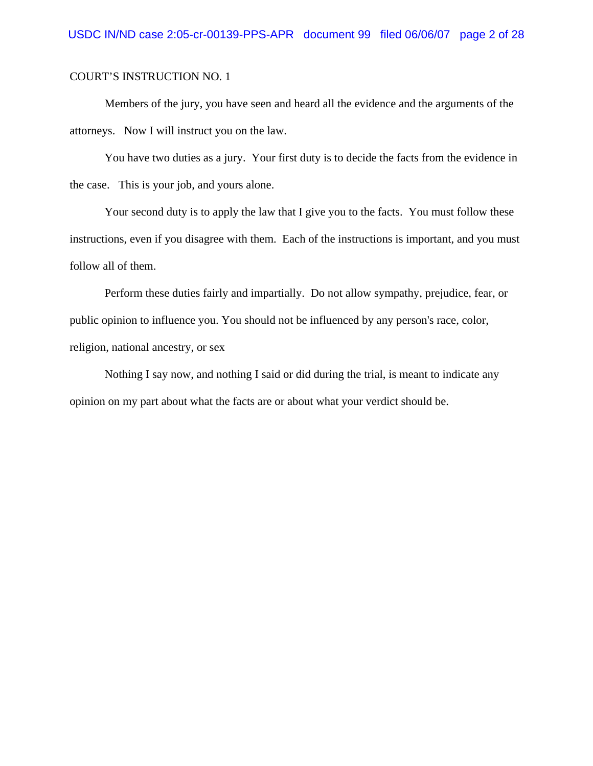Members of the jury, you have seen and heard all the evidence and the arguments of the attorneys. Now I will instruct you on the law.

You have two duties as a jury. Your first duty is to decide the facts from the evidence in the case. This is your job, and yours alone.

Your second duty is to apply the law that I give you to the facts. You must follow these instructions, even if you disagree with them. Each of the instructions is important, and you must follow all of them.

Perform these duties fairly and impartially. Do not allow sympathy, prejudice, fear, or public opinion to influence you. You should not be influenced by any person's race, color, religion, national ancestry, or sex

Nothing I say now, and nothing I said or did during the trial, is meant to indicate any opinion on my part about what the facts are or about what your verdict should be.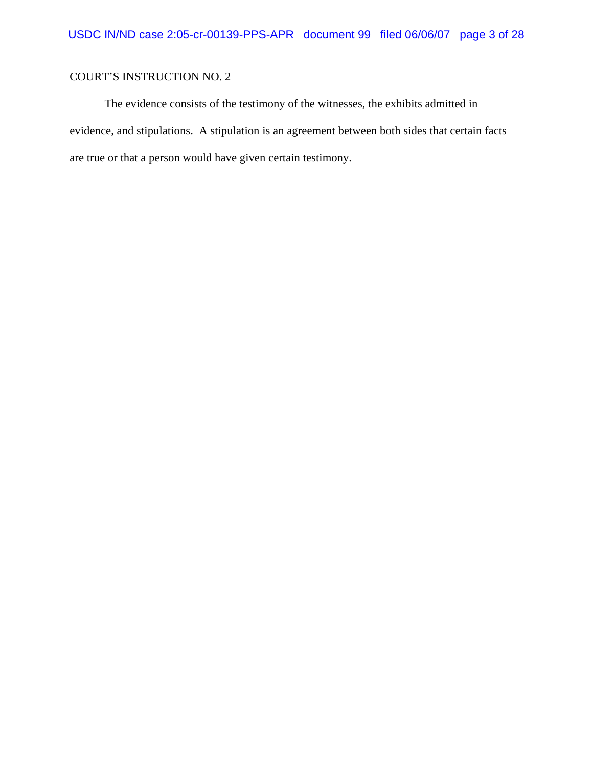The evidence consists of the testimony of the witnesses, the exhibits admitted in evidence, and stipulations. A stipulation is an agreement between both sides that certain facts are true or that a person would have given certain testimony.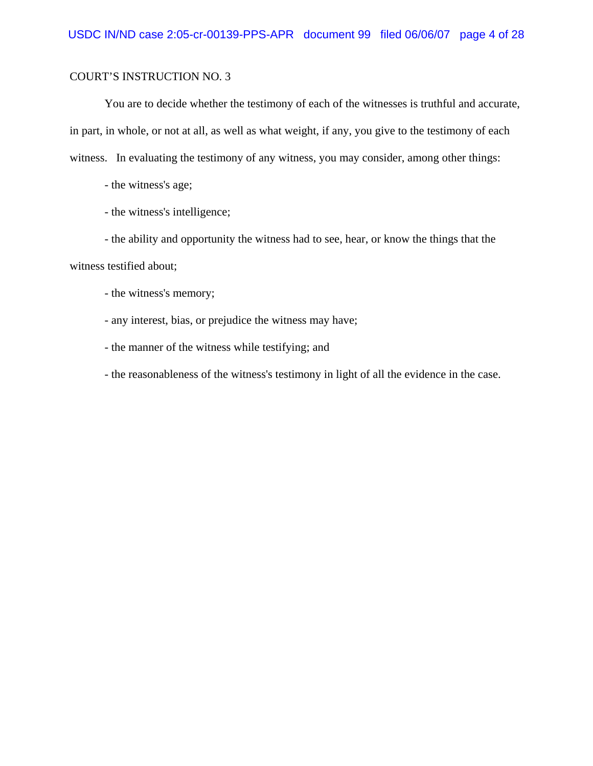You are to decide whether the testimony of each of the witnesses is truthful and accurate, in part, in whole, or not at all, as well as what weight, if any, you give to the testimony of each witness. In evaluating the testimony of any witness, you may consider, among other things:

- the witness's age;

- the witness's intelligence;

- the ability and opportunity the witness had to see, hear, or know the things that the witness testified about;

- the witness's memory;

- any interest, bias, or prejudice the witness may have;

- the manner of the witness while testifying; and

- the reasonableness of the witness's testimony in light of all the evidence in the case.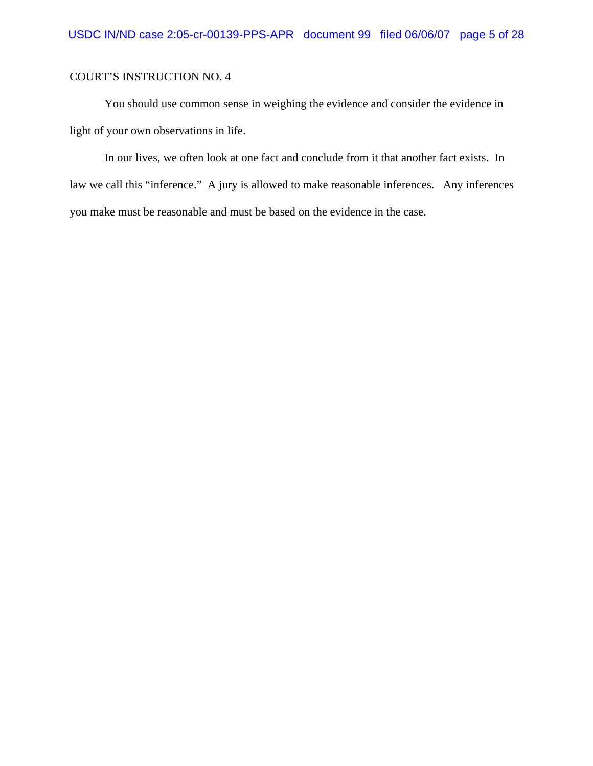You should use common sense in weighing the evidence and consider the evidence in light of your own observations in life.

In our lives, we often look at one fact and conclude from it that another fact exists. In law we call this "inference." A jury is allowed to make reasonable inferences. Any inferences you make must be reasonable and must be based on the evidence in the case.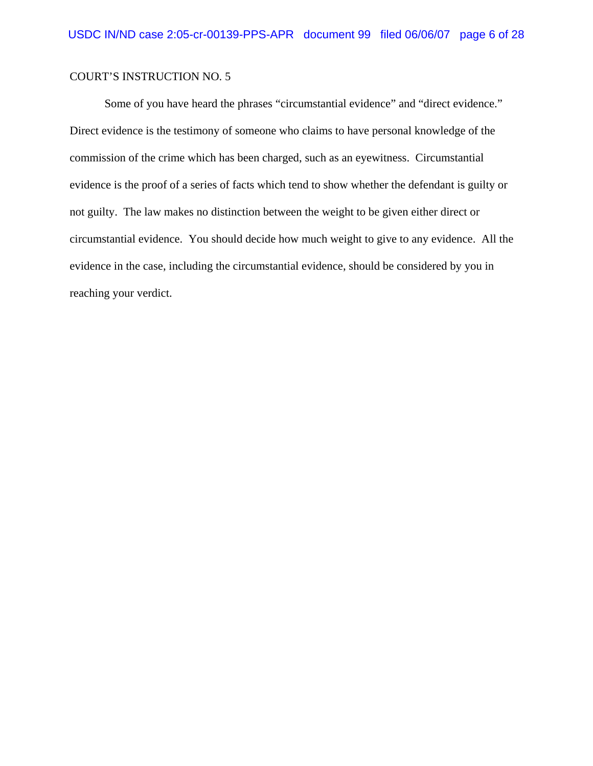Some of you have heard the phrases "circumstantial evidence" and "direct evidence." Direct evidence is the testimony of someone who claims to have personal knowledge of the commission of the crime which has been charged, such as an eyewitness. Circumstantial evidence is the proof of a series of facts which tend to show whether the defendant is guilty or not guilty. The law makes no distinction between the weight to be given either direct or circumstantial evidence. You should decide how much weight to give to any evidence. All the evidence in the case, including the circumstantial evidence, should be considered by you in reaching your verdict.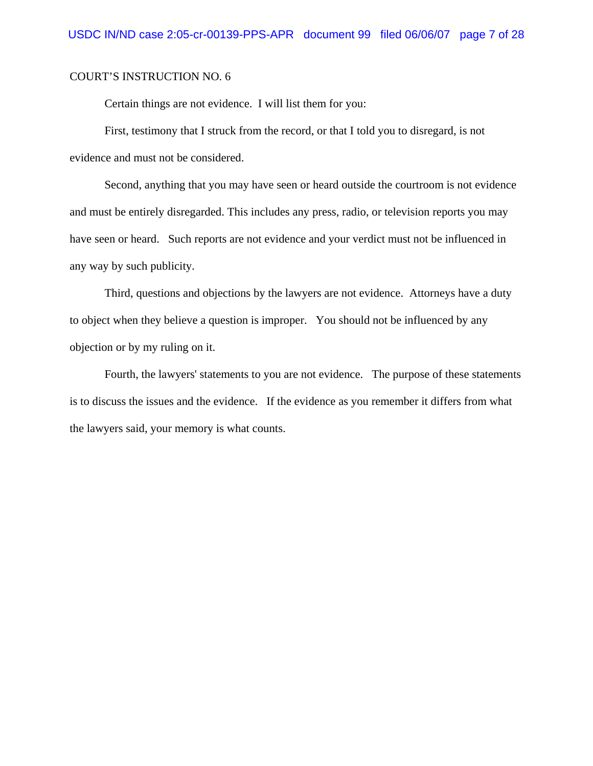Certain things are not evidence. I will list them for you:

First, testimony that I struck from the record, or that I told you to disregard, is not evidence and must not be considered.

Second, anything that you may have seen or heard outside the courtroom is not evidence and must be entirely disregarded. This includes any press, radio, or television reports you may have seen or heard. Such reports are not evidence and your verdict must not be influenced in any way by such publicity.

Third, questions and objections by the lawyers are not evidence. Attorneys have a duty to object when they believe a question is improper. You should not be influenced by any objection or by my ruling on it.

Fourth, the lawyers' statements to you are not evidence. The purpose of these statements is to discuss the issues and the evidence. If the evidence as you remember it differs from what the lawyers said, your memory is what counts.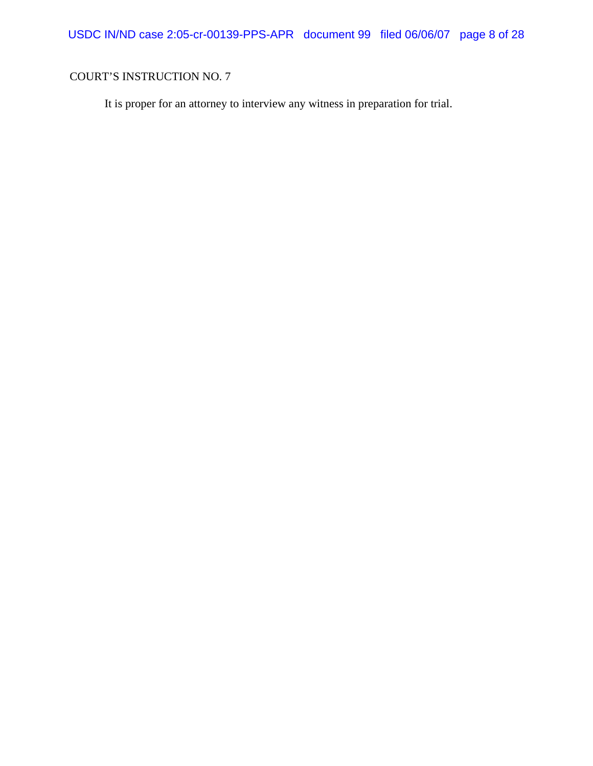It is proper for an attorney to interview any witness in preparation for trial.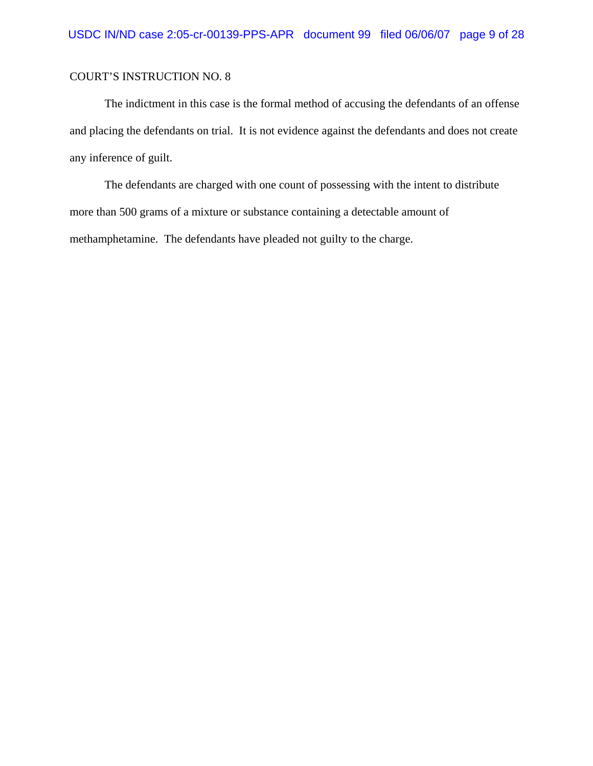The indictment in this case is the formal method of accusing the defendants of an offense and placing the defendants on trial. It is not evidence against the defendants and does not create any inference of guilt.

The defendants are charged with one count of possessing with the intent to distribute more than 500 grams of a mixture or substance containing a detectable amount of methamphetamine. The defendants have pleaded not guilty to the charge.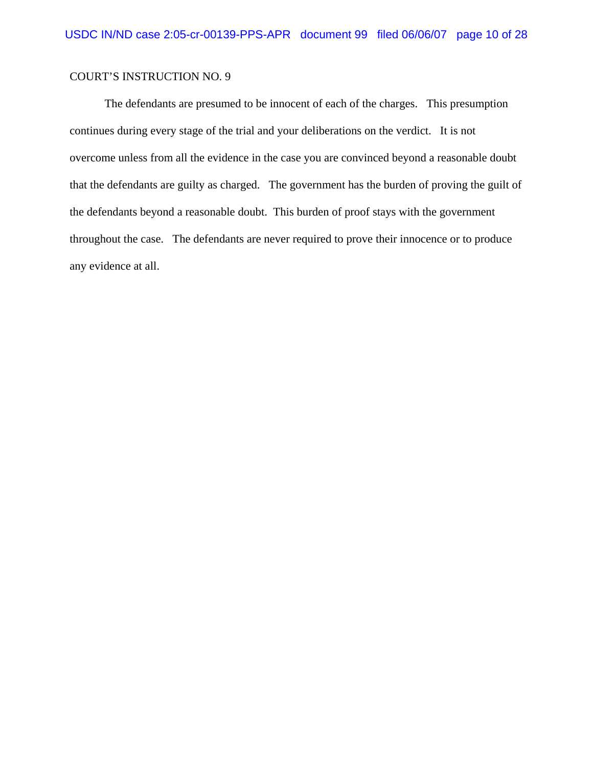The defendants are presumed to be innocent of each of the charges. This presumption continues during every stage of the trial and your deliberations on the verdict. It is not overcome unless from all the evidence in the case you are convinced beyond a reasonable doubt that the defendants are guilty as charged. The government has the burden of proving the guilt of the defendants beyond a reasonable doubt. This burden of proof stays with the government throughout the case. The defendants are never required to prove their innocence or to produce any evidence at all.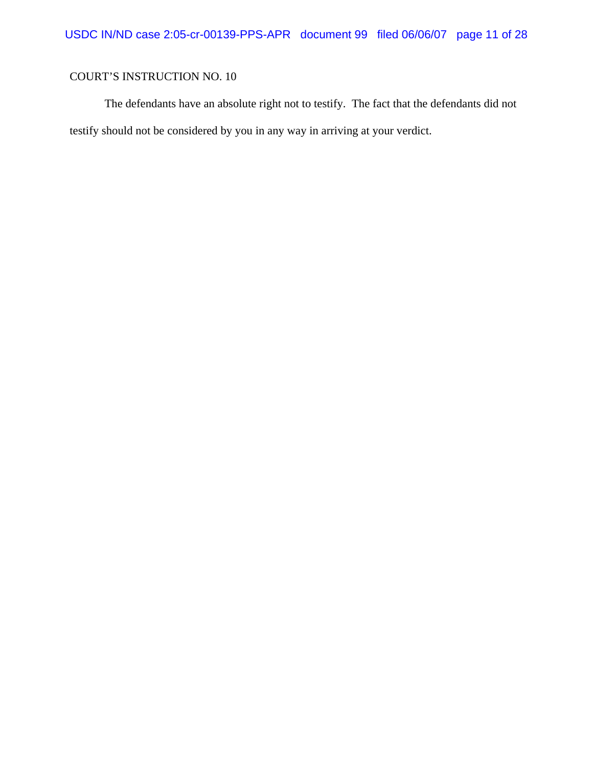The defendants have an absolute right not to testify. The fact that the defendants did not testify should not be considered by you in any way in arriving at your verdict.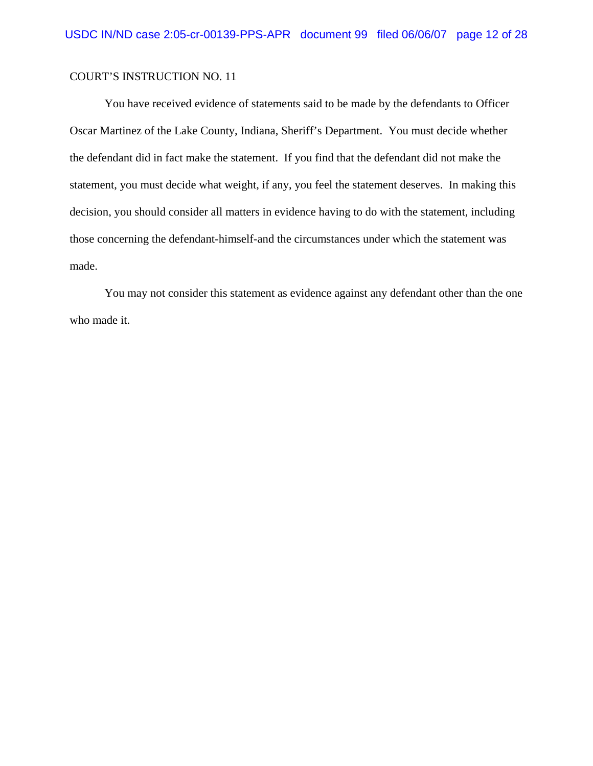You have received evidence of statements said to be made by the defendants to Officer Oscar Martinez of the Lake County, Indiana, Sheriff's Department. You must decide whether the defendant did in fact make the statement. If you find that the defendant did not make the statement, you must decide what weight, if any, you feel the statement deserves. In making this decision, you should consider all matters in evidence having to do with the statement, including those concerning the defendant-himself-and the circumstances under which the statement was made.

You may not consider this statement as evidence against any defendant other than the one who made it.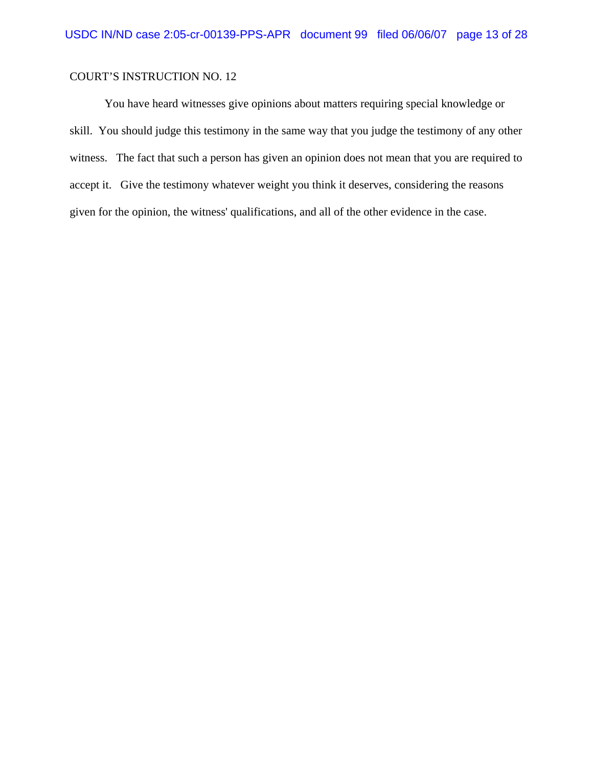You have heard witnesses give opinions about matters requiring special knowledge or skill. You should judge this testimony in the same way that you judge the testimony of any other witness. The fact that such a person has given an opinion does not mean that you are required to accept it. Give the testimony whatever weight you think it deserves, considering the reasons given for the opinion, the witness' qualifications, and all of the other evidence in the case.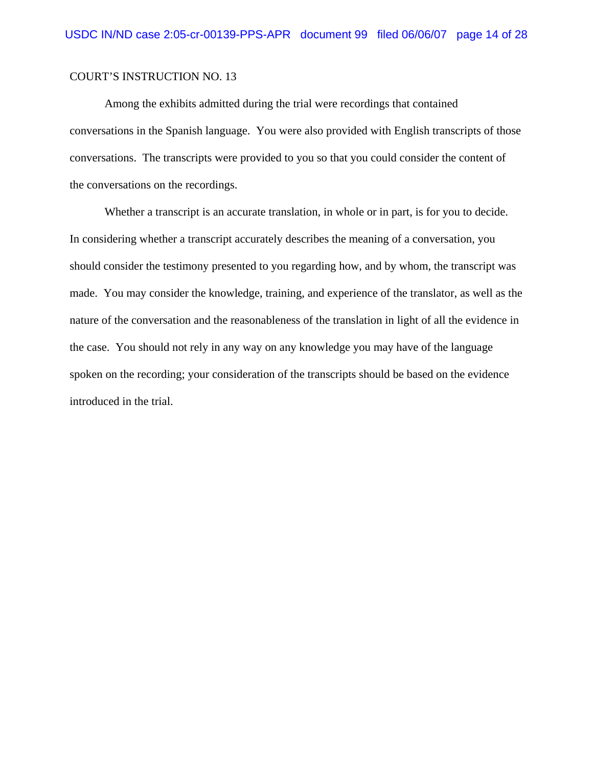Among the exhibits admitted during the trial were recordings that contained conversations in the Spanish language. You were also provided with English transcripts of those conversations. The transcripts were provided to you so that you could consider the content of the conversations on the recordings.

Whether a transcript is an accurate translation, in whole or in part, is for you to decide. In considering whether a transcript accurately describes the meaning of a conversation, you should consider the testimony presented to you regarding how, and by whom, the transcript was made. You may consider the knowledge, training, and experience of the translator, as well as the nature of the conversation and the reasonableness of the translation in light of all the evidence in the case. You should not rely in any way on any knowledge you may have of the language spoken on the recording; your consideration of the transcripts should be based on the evidence introduced in the trial.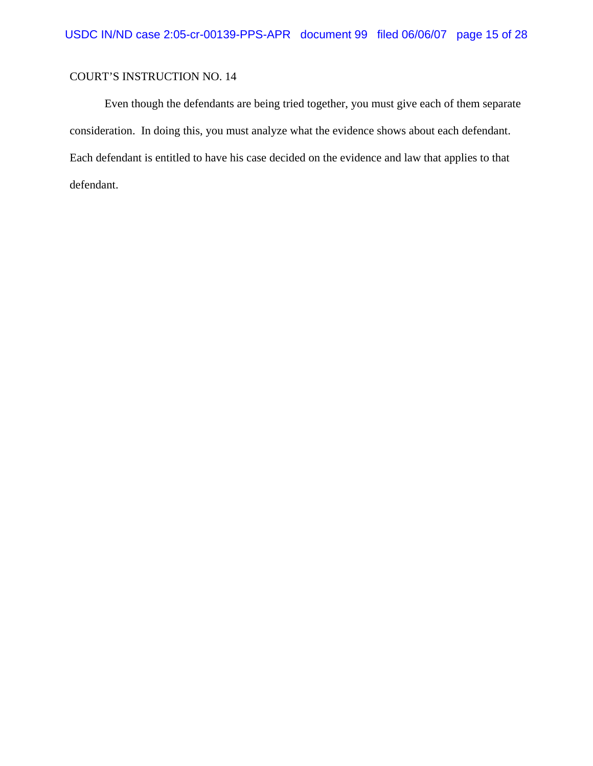Even though the defendants are being tried together, you must give each of them separate consideration. In doing this, you must analyze what the evidence shows about each defendant. Each defendant is entitled to have his case decided on the evidence and law that applies to that defendant.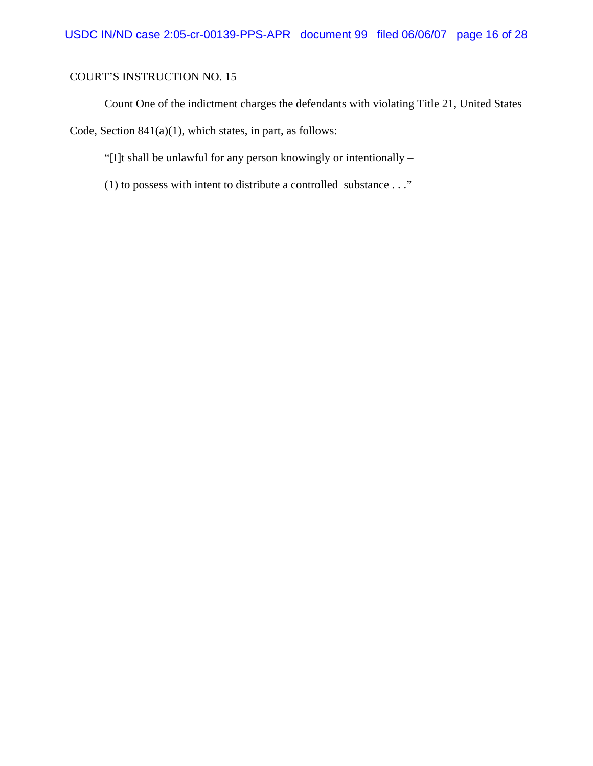Count One of the indictment charges the defendants with violating Title 21, United States

Code, Section 841(a)(1), which states, in part, as follows:

"[I]t shall be unlawful for any person knowingly or intentionally –

(1) to possess with intent to distribute a controlled substance . . ."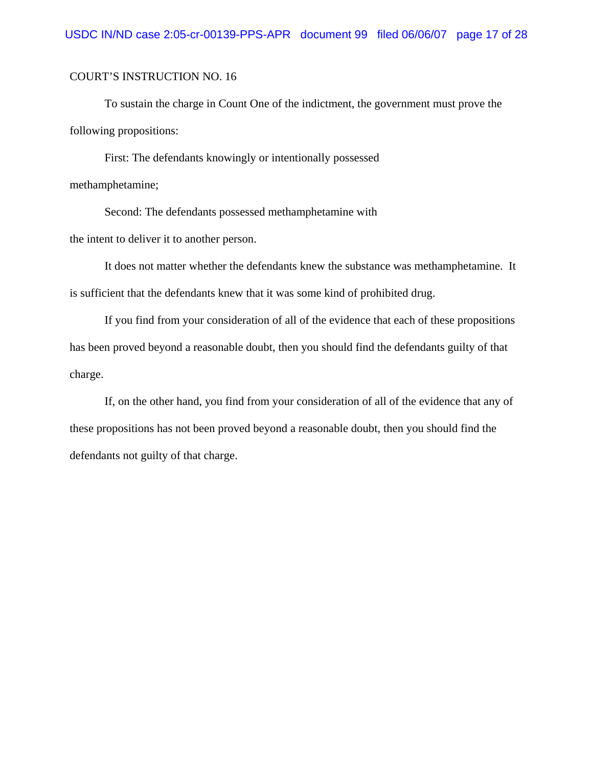To sustain the charge in Count One of the indictment, the government must prove the following propositions:

First: The defendants knowingly or intentionally possessed methamphetamine;

Second: The defendants possessed methamphetamine with the intent to deliver it to another person.

It does not matter whether the defendants knew the substance was methamphetamine. It is sufficient that the defendants knew that it was some kind of prohibited drug.

If you find from your consideration of all of the evidence that each of these propositions has been proved beyond a reasonable doubt, then you should find the defendants guilty of that charge.

If, on the other hand, you find from your consideration of all of the evidence that any of these propositions has not been proved beyond a reasonable doubt, then you should find the defendants not guilty of that charge.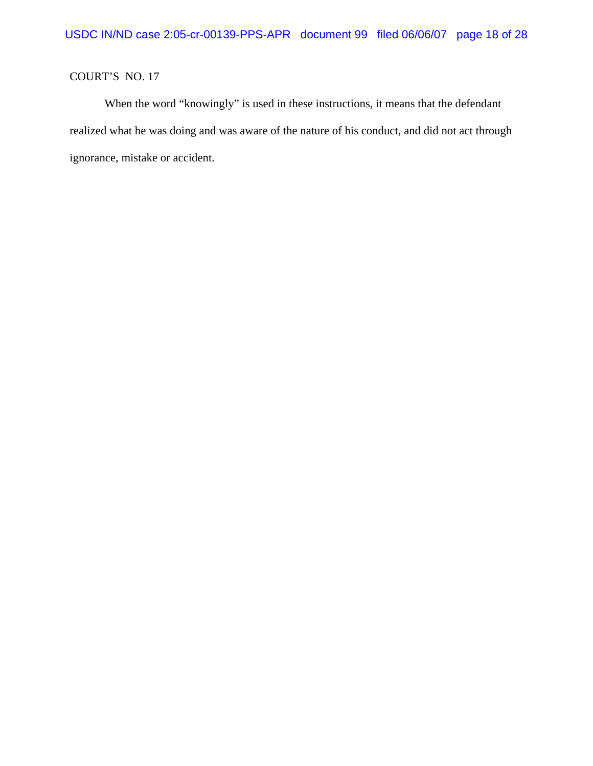## COURT'S NO. 17

When the word "knowingly" is used in these instructions, it means that the defendant realized what he was doing and was aware of the nature of his conduct, and did not act through ignorance, mistake or accident.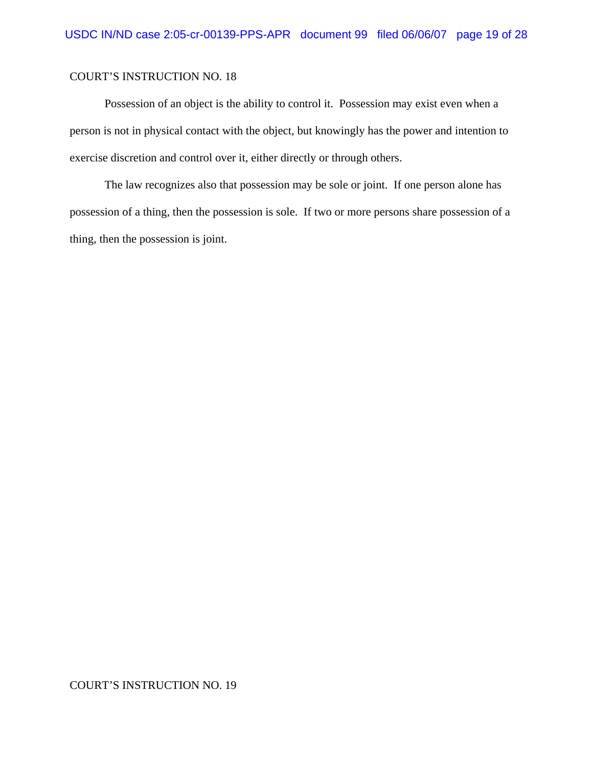Possession of an object is the ability to control it. Possession may exist even when a person is not in physical contact with the object, but knowingly has the power and intention to exercise discretion and control over it, either directly or through others.

The law recognizes also that possession may be sole or joint. If one person alone has possession of a thing, then the possession is sole. If two or more persons share possession of a thing, then the possession is joint.

#### COURT'S INSTRUCTION NO. 19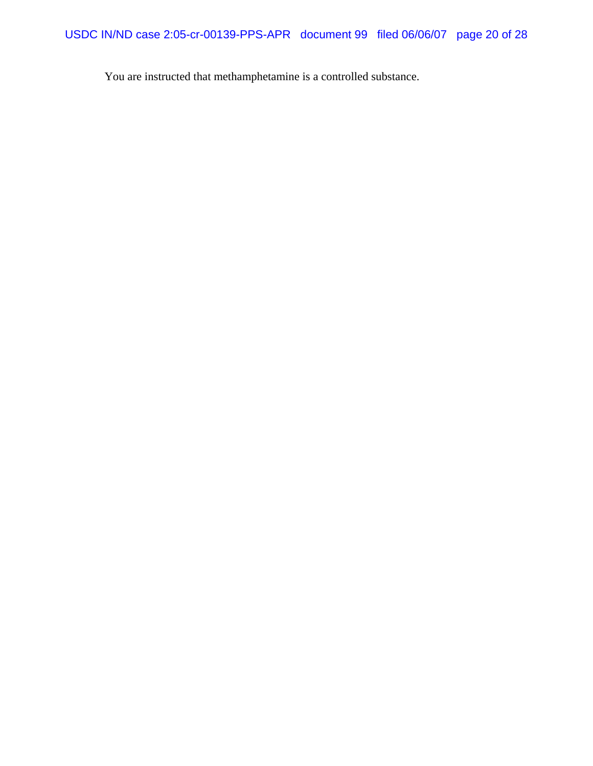You are instructed that methamphetamine is a controlled substance.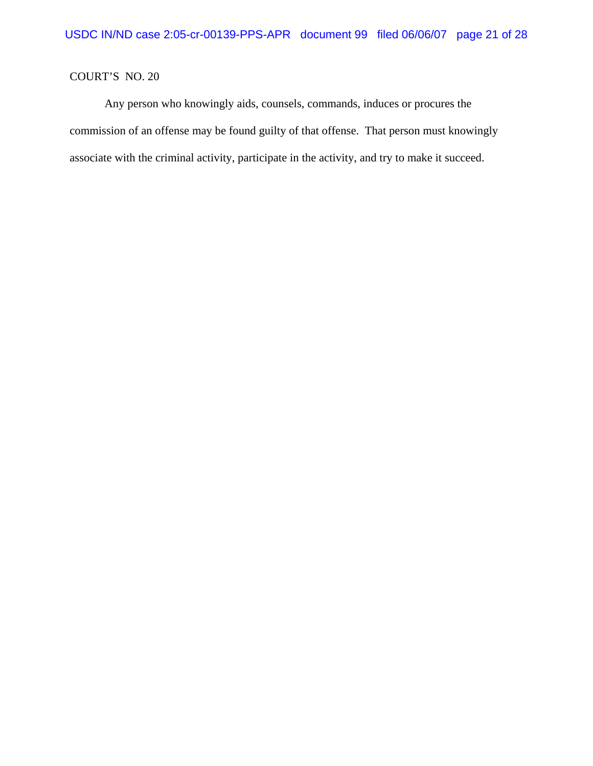## COURT'S NO. 20

Any person who knowingly aids, counsels, commands, induces or procures the commission of an offense may be found guilty of that offense. That person must knowingly associate with the criminal activity, participate in the activity, and try to make it succeed.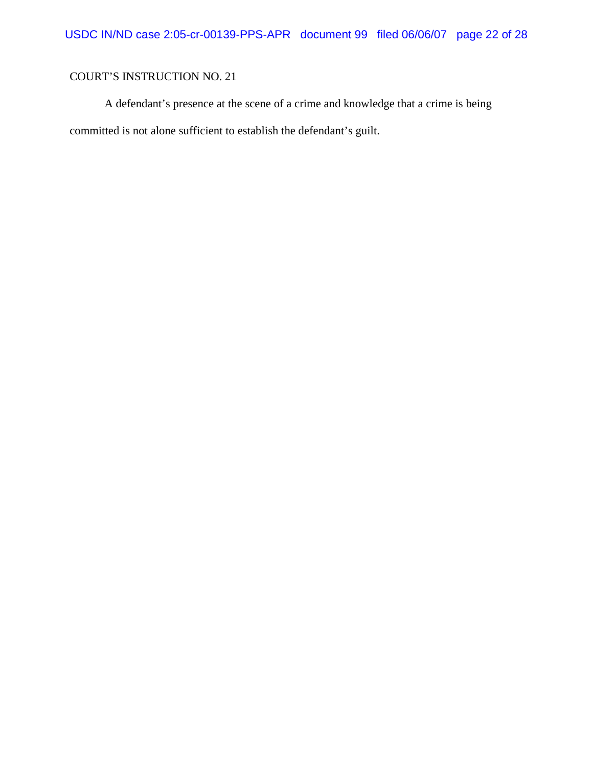A defendant's presence at the scene of a crime and knowledge that a crime is being committed is not alone sufficient to establish the defendant's guilt.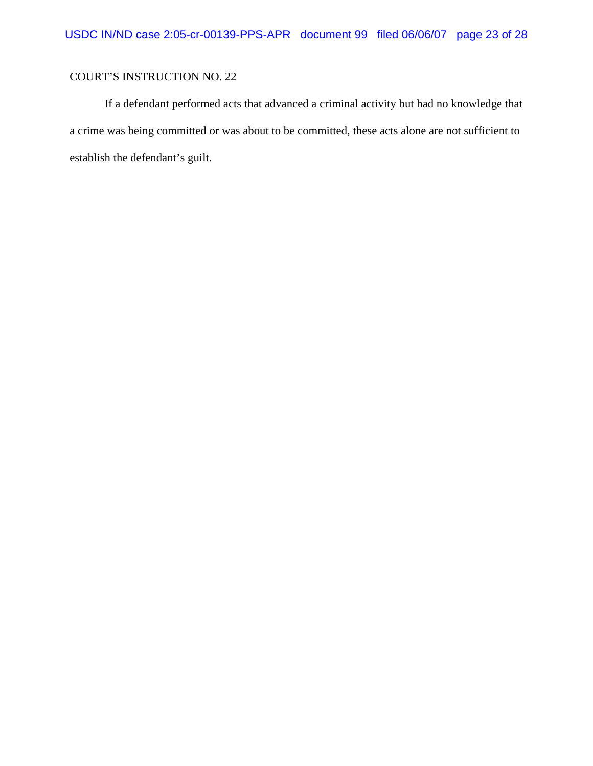If a defendant performed acts that advanced a criminal activity but had no knowledge that a crime was being committed or was about to be committed, these acts alone are not sufficient to establish the defendant's guilt.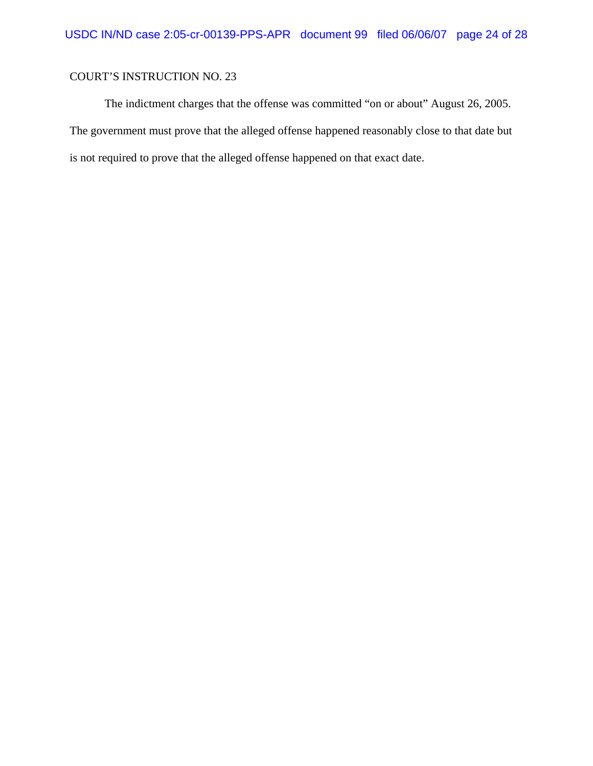The indictment charges that the offense was committed "on or about" August 26, 2005. The government must prove that the alleged offense happened reasonably close to that date but is not required to prove that the alleged offense happened on that exact date.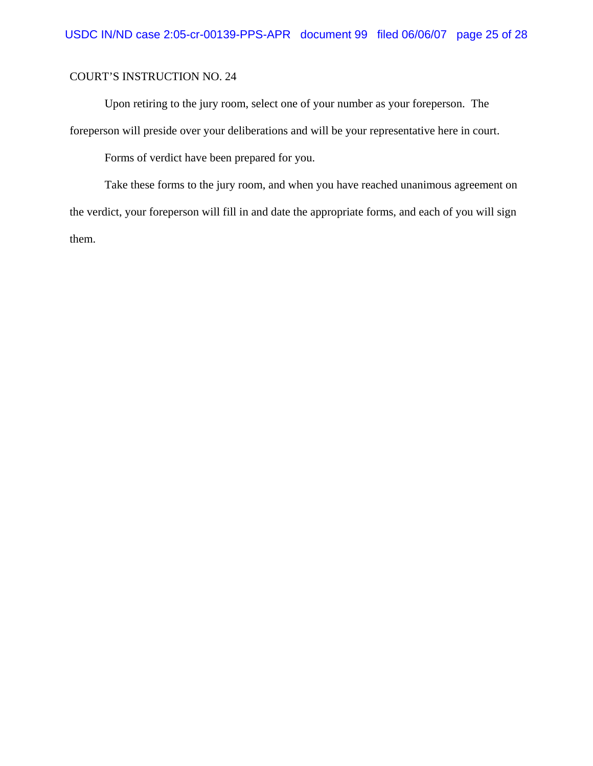Upon retiring to the jury room, select one of your number as your foreperson. The foreperson will preside over your deliberations and will be your representative here in court.

Forms of verdict have been prepared for you.

Take these forms to the jury room, and when you have reached unanimous agreement on the verdict, your foreperson will fill in and date the appropriate forms, and each of you will sign them.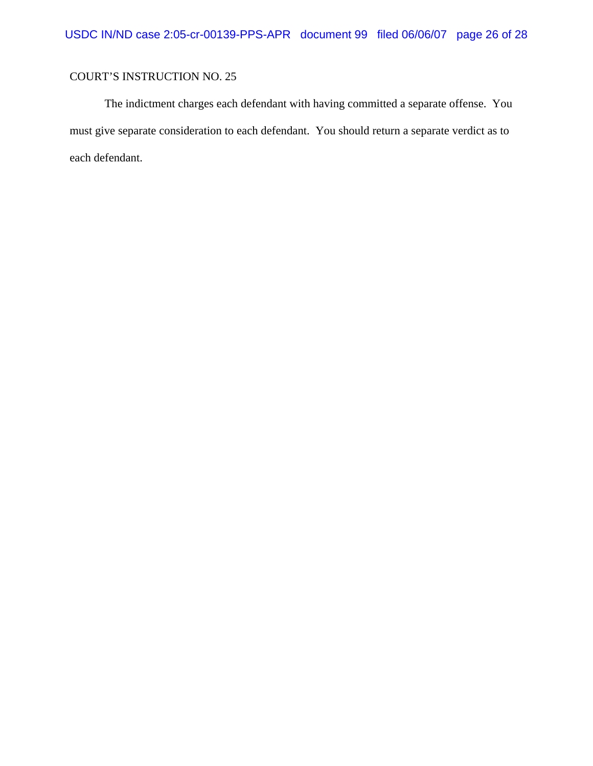The indictment charges each defendant with having committed a separate offense. You must give separate consideration to each defendant. You should return a separate verdict as to each defendant.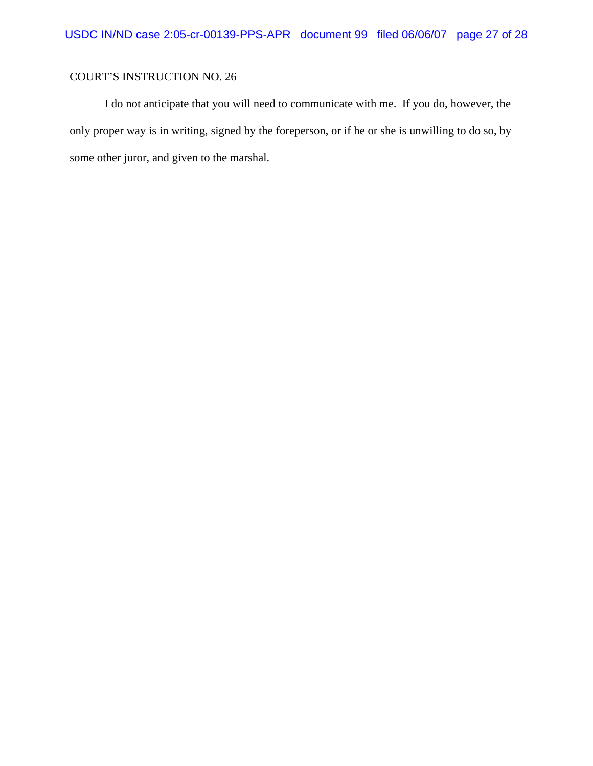I do not anticipate that you will need to communicate with me. If you do, however, the only proper way is in writing, signed by the foreperson, or if he or she is unwilling to do so, by some other juror, and given to the marshal.